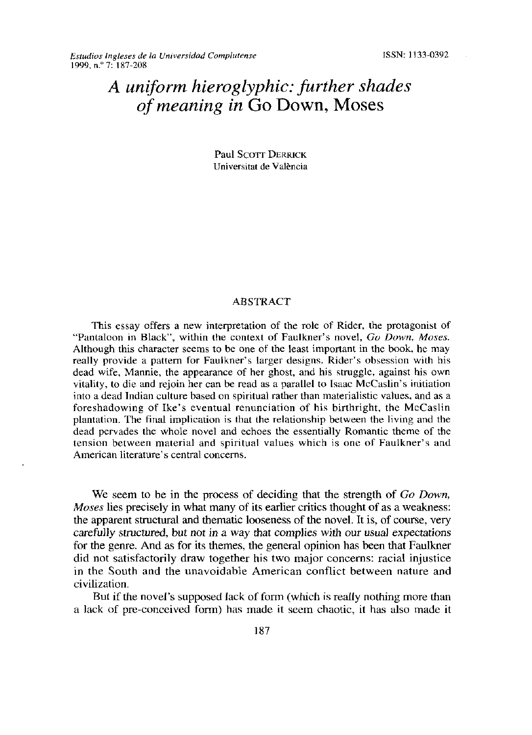## *A unziform hieroglyphic: further shades of meaning in* Go Down, Moses

Paul Scorr DERRICK Universitat de Valéncia

## **ABSTRACT**

This essay offers a new interpretation of the role of Rider, the protagonist of "Pantaloon in Black", within the context of Faulkner's novel, *Go Down, Moses.* Although this character seems to be one of the least important in the book, he may really provide a pattern for Faulkner's larger designs. Rider's obsession with his dead wife, Mannie, the appearance of her ghost, and his struggle, against his own vitality, [o die and rejoin her can be read as a parallel to Isaac McCaslin's initiation into a dead Indian culture based on spiritual rather than materialistic values, and as a foreshadowing of Ike's eventual renunciation of his birthright, the McCaslin plantation. The final implication is that the relationship between the living and the dead pervades the whole novel and echoes the essentially Romantic theme of the tension between material and spiritual values which is one of Faulkner's and American literature's central concerns.

We seem to be in the process of deciding that the strength of *Go Down*, *Moses* lies precisely in what many of its earlier critics thought of as a weakness: the apparent structural and thematic looseness of the novel. It is, of course, very carefully structured, but not in a way that complies with our usual expectations for the genre. And as for its themes, the general opinion has been that Faulkner did not satisfactorily draw together his two major concerns: racial injustice in the South and the unavoidable American conflict between nature and civilization.

But if the novel's supposed lack of form (which is really nothing more than a lack of pre-conceived form) bas made it seem cbaotic, it has also made it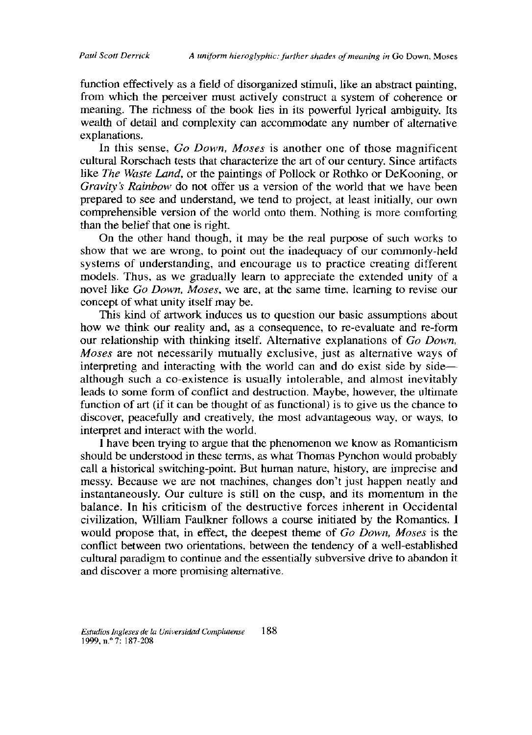function effectively as a field of disorganized stimuli, like an abstract painting, from which the perceiver must actively construct a system of coherence or meaning. The richness of the book lies in its powerful lyrical ambiguity. Its wealth of detail and complexity can accommodate any number of alternative explanations.

In this sense, *Go Down, Moses* is another one of those magnificent cultural Rorschach tests that characterize the art of our century. Since artifacts like *The Waste Land*, or the paintings of Pollock or Rothko or DeKooning, or *Gravity's Rainbow* do not offer us a version of the world that we have been prepared to see and understand, we tend to project, at least initially, our own comprehensible version of the world onto them. Nothing is more comforting than the belief that one is right.

On the other hand though, it may be the real purpose of such works to show that we are wrong, to point out the inadequacy of our commonly-held systems of understanding, and encourage us to practice creating different models. Thus, as we gradually learn to appreciate the extended unity of a novel like *Go Down, Moses*, we are, at the same time, learning to revise our concept of what unity itself may be.

This kind of artwork induces us to question our basic assumptions about how we think our reality and, as a consequence, to re-evaluate and re-form our relationsbip witb thinking itself Altemative explanations of *Go Down, Moses* are not necessarily mutually exclusive, just as alternative ways of interpreting and interacting with the world can and do exist side by side although such a co-existence is usually intolerable, and almost inevitably leads to some form of conflict and destruction. Maybe, however, the ultimate function of art (if it can be thought of as functional) is to give us the chance to discover, peacefully and creatively, the most advantageous way, or ways, to interpret and interact with the world.

I have been trying to argue that the phenomenon we know as Romanticism should be understood in these terms, as what Thomas Pynchon would probably call a historical switching-point. But human nature, history, are imprecise and messy. Because we are not machines, changes don't just happen neatly and instantaneously. Our culture is still on the cusp, and its momentum in the balance. In his criticism of the destructive forces inherent in Occidental civilization, William Faulkner follows a course initiated by the Romantics. I would propose that, in effect, the deepest theme of *Go Down, Moses* is the conflict between two orientations, between the tendency of a well-established cultural paradigm to continue and the essentially subversive drive to abandon it and discover a more promising altemative.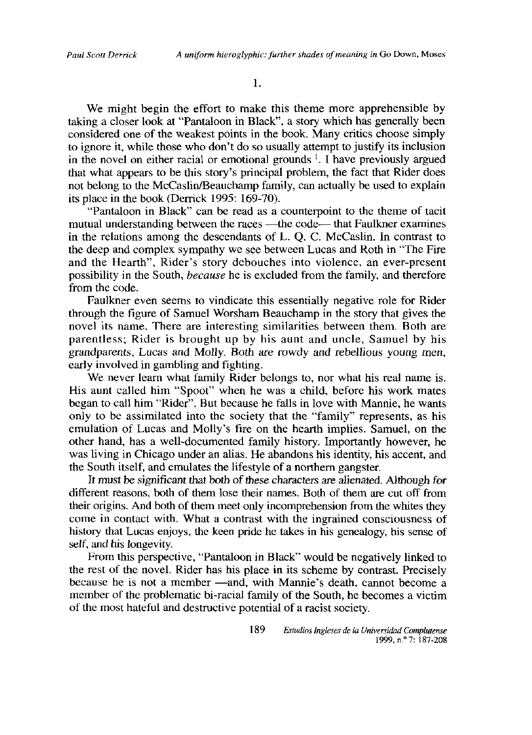**1.**

We might begin the effort to make this theme more apprehensible by taking a closer look at "Pantaloon in Black", a story which has generally been considered one of the weakest points in the book. Many critics choose simply to ignore it, while those who don't do so usually attempt to justify its inclusion in the novel on either racial or emotional grounds <sup>1</sup>. I have previously argued that what appears to be this story's principal problem, the fact that Rider does not belong to the McCaslin/Beauchamp family, can actually be used to explain its place in the book (Derrick 1995:  $169-70$ ).

"Pantaloon in Black" can be read as a counterpoint to the theme of tacit mutual understanding between the races —the code— that Faulkner examines in the relations among the descendants of L. Q. C. McCaslin. In contrast to the deep and complex sympathy we see between Lucas and Roth in "The Fire and the Hearth", Rider's story debouches into violence, an ever-present possibility in the South, *because* he is excluded from the family, and therefore from the code.

Faulkner even seems to vindicate this essentially negative role for Rider through the figure of Samuel Worsham Beauchamp in the story that gives the novel its name. There are interesting similarities between them. Both are parentless; Rider is brought up by his aunt and uncle, Samuel by his grandparents, Lucas and Molly. Both are rowdy and rebellious young men, early involved in gambling and fighting.

We never learn what family Rider belongs to, nor what his real name is. His aunt called him "Spoot" when he was a child, before his work mates began to call him "Rider". But because he falls in love with Mannie, he wants only to be assimilated into the society that the "family" represents, as his emulation of Lucas and Molly's fire on the hearth implies. Samuel, on the other hand, has a well-decumented family bistory. Importantly however, be was living in Chicago under an alias. He abandons his identity, his accent, and the South itself, and emulates the lifestyle of a northern gangster.

It must be significant that both of these characters are alienated. Although for different reasons, both of them lose their names. Both of them are cut off from their origins. And both of them meet only incomprehension from the whites they come in contact with. What a contrast with the ingrained consciousness of history that Lucas enjoys, the keen pride he takes in his genealogy, his sense of self, and his longevity.

From this perspective, "Pantaloon in Black" would be negatively linked to the rest of the novel. Rider has his place in its scheme by contrast. Precisely because he is not a member —and, with Mannie's death, cannot become a member of the problematic bi-racial family of the South, he becomes a victim of the most hateful and destructive potential of a racist society.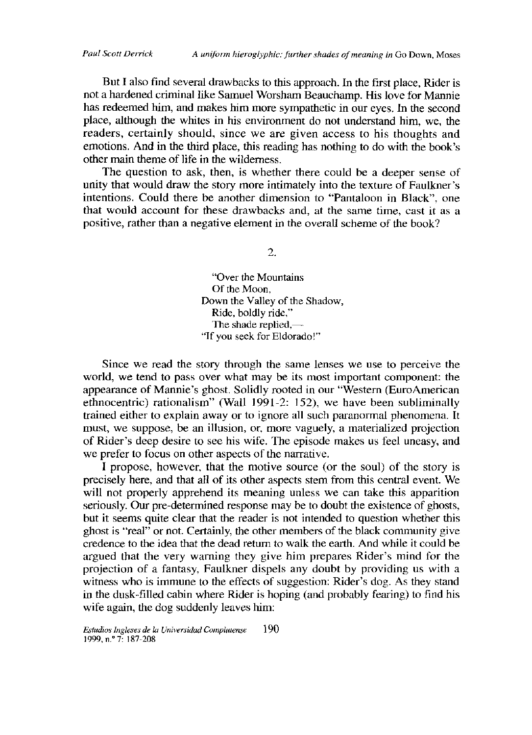But I also find several drawbacks to this approach. In the first place, Rider is not a hardened criminal like Samuel Worsham Beauchamp. His love for Mannie has redeemed him, and makes him more sympathetic in our eyes. In the second place, although the whites in his environment do not understand him, we, the readers, certainly should, since we are given access to his thoughts and emotions. And in the third place, this reading has nothing to do with the book's other main theme of life in the wilderness.

The question to ask, then, is whether there could be a deeper sense of unity that would draw the story more intimately into the texture of Faulkner's intentions. Could there be another dimension to "Pantaloon in Black", one that would account for these drawbacks and, at the same time, cast it as a positive, rather than a negative element in the overall scheme of the book?

2.

"Over the Mountains Of the Moon. Down the Valley of the Shadow, Ride, beldly ride," The shade replied,— "If you seek for Eldorado!"

Since we read the story through the same lenses we use to perceive the world, we tend to pass over what may be its most important component: the appearance of Mannie's ghost. Solidly rooted in our "Western (EuroAmerican ethnocentric) rationalism" (Wall 1991-2: 152), we have been subliminally trained either to explain away or to ignore all such paranormal phenomena. It must, we suppose, be an illusion, or, more vaguely, a materialized projection of Rider's deep desire to see his wife. The episode makes us feel uneasy, and we prefer to focus on other aspects of the narrative.

I propose, however, that the motive source (or the soul) of the story is precisely here, and that all of its other aspects stem from this central event. We will not properly apprehend its meaning unless we can take this apparition seriously. Our pre-determined response may be to doubt the existence of ghosts, but it seems quite clear that the reader is not intended to question whether this ghost is "real" or not. Certainly, the other members of the black community give credence to the idea that the dead return to walk the earth. And while it could be argued that the very warning they give him prepares Rider's mind for the projection of a fantasy, Faulkner dispeis any deubt by previding us witb a witness who is immune to the effects of suggestion: Rider's dog. As they stand in the dusk-filled cabin where Rider is hoping (and probably fearing) to find his wife again, the dog suddenly leaves him: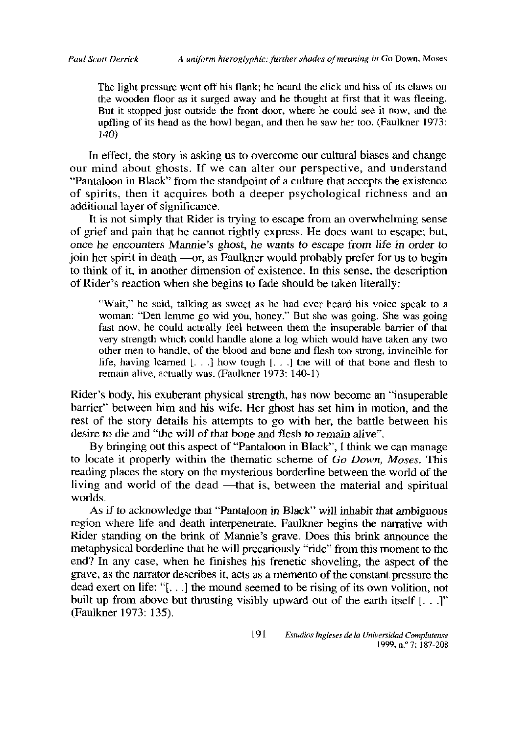The light pressure went off his flank; he heard the click and hiss of its claws on the wooden floor as it surged away and he thought at first that it was fleeing. But it stopped just outside the front door, where he could see it now, and the upfling of its head as the howl began, and then he saw her too. (Faulkner 1973: 140)

In effect, the story is asking us to overcome our cultural biases and change our mind about ghosts. If we can alter our perspective, and understand "Pantaloon in Black" from the standpoint of a culture that accepts the existence of spirits, tben it acquires botb a deeper psycbolegical richness and an additional layer of significance.

It is not simply that Rider is trying to escape from an overwhelming sense of grief and pain that he cannot rightly express. He does want to escape; but, once he encounters Mannie's ghost, he wants to escape from life in order to join her spirit in death  $\sim$ or, as Faulkner would probably prefer for us to begin to think of it, in another dimension of existence. In this sense, the description of Rider's reaction when she begins to fade should be taken literally:

"Wait," he said, talking as sweet as he had ever heard his voice speak to a woman: "Den lemme go wid you, honey." But she was going. She was going fast now, he could actually feel between them the insuperable barrier of that very strength which could handle alone a log which would have taken any two other men to handle, of the blood and bone and flesh too strong, invincible for life, having learned  $[...]$  how tough  $[...]$  the will of that bone and flesh to remain alive, actually was. (Faulkner 1973: 140-1)

Rider's body, his exuberant physical strength, has now become an "insuperable barrier" between him and his wife. Her ghost has set him in motion, and the rest of the story details his attempts to go with her, the battle between his desire to die and "the will of that bone and flesh to remain alive".

By bringing out this aspect of "Pantaloon in Black", I think we can manage to locate it properly within the thematic scheme of *Go Down, Moses*. This reading places the story on the mysterious borderline between the world of the living and world of the dead —that is, between the material and spiritual worlds.

As if to acknowledge that "Pantaloon in Black" will inhabit that ambiguous region where life and death interpenetrate, Faulkner begins the narrative with Rider standing on the brink of Mannie's grave. Does this brink announce the metaphysical borderline that he will precariously "ride" from this moment to the end? In any case, when he finishes his frenetic shoveling, the aspect of the grave, as the narrator describes it, acts as a memento of the constant pressure the dead exert on life: " $[$ ...] the mound seemed to be rising of its own volition, not built up from above but thrusting visibly upward out of the earth itself  $[...]$ " (Faulkner 1973: 135).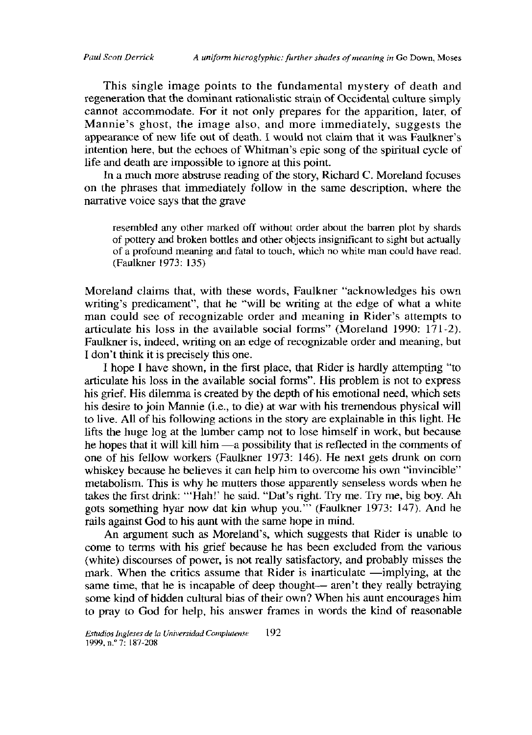This single image points to the fundamental mystery of death and regeneration that the dominant rationalistic strain of Occidental culture simply cannot accommodate. For it not only prepares for the apparition, later, of Mannie's ghost, the image also, and more immediately, suggests the appearance of new life out of death. I would not claim that it was Faulkner's intention here, but the echoes of Whitman's epic song of the spiritual cycle of life and death are impossible to ignore at this point.

In a much more abstruse reading of the story, Richard C. Moreland focuses on the phrases that immediately follow in the same description, where the narrative voice says that the grave

resembled any other marked off without order about the barren plot by shards of pottery and broken bottles and other objects insignificant to sight but actually of a profound meaning and fatal to touch, which no white man could have read. (Faulkner 1973: 135)

Moreland claims that, with these words, Faulkner "acknowledges his own writing's predicament", that he "will be writing at the edge of what a white man could see of recognizable order and meaning in Rider's attempts to articulate his loss in the available social forms" (Moreland 1990: 171-2). Faulkner is, indeed, writing on an edge of recognizable order and meaning, but I don't think it is precisely this one.

I hope I have shown, in the first place, that Rider is hardly attempting "to articulate his loss in the available social forms". His problem is not to express his grief. His dilemma is created by the depth of his emotional need, which sets his desire to join Mannie (i.e., to die) at war with his tremendous physical will to live. All of his following actions in the story are explainable in this light. He lifts the huge log at the lumber camp not to lose himself in work, but because he hopes that it will kill him —a possibility that is reflected in the comments of one of his fellow workers (Faulkner 1973: 146). He next gets drunk on corn whiskey because he believes it can help him to overcome his own "invincible" metabolism. This is why he mutters those apparently senseless words when he takes the first drink: "'Hah!' he said. "Dat's right. Try me. Try me, big boy. Ah gots something hyar now dat kin whup you." (Faulkner 1973: 147). And he rails against God to his aunt with the same hope in mind.

An argument such as Moreland's, which suggests that Rider is unable to come to terms with his grief because he has been excluded from the various (white) discourses of power, is not really satisfactory, and probably misses the mark. When the critics assume that Rider is inarticulate —implying, at the same time, that he is incapable of deep thought—aren't they really betraying some kind of hidden cultural bias of their own? When his aunt encourages him to pray to God for help, his answer frames in words the kind of reasonable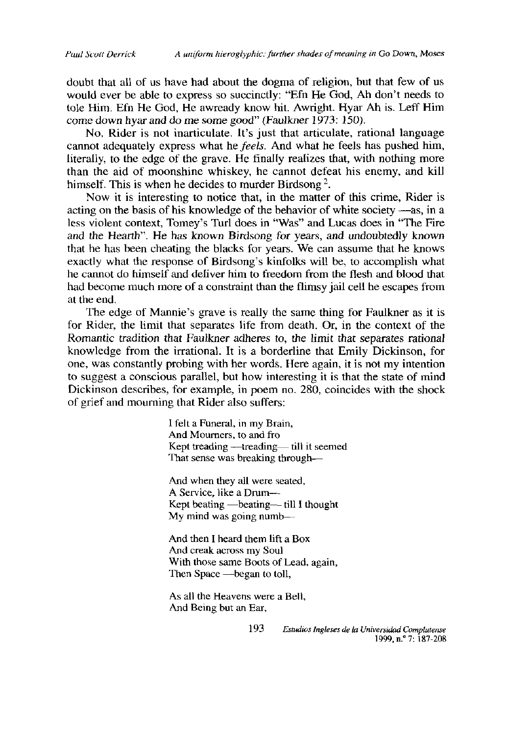doubt that all of us have had about the dogma of religion, but that few of us would ever be able to express so succinctly: "Efn He God, Ah don't needs to tole Him. Efn He God, He awready know hit. Awright. Hyar Ah is. Leff Him come down hyar and do me some good" (Faulkner 1973: 150).

No, Rider is not inarticulate. It's just that articulate, rational language cannot adequately express what he feels. And what he feels has pushed him, literally, to the edge of the grave. He finally realizes that, with nothing more than the aid of moonshine whiskey, he cannot defeat his enemy, and kill himself. This is when he decides to murder Birdsong<sup>2</sup>.

Now it is interesting to notice that, in the matter of this crime, Rider is acting on the basis of his knowledge of the behavior of white society —as, in a less violent context, Tomey's Turl does in "Was" and Lucas does in "The Fire and the Hearth". He has known Birdsong for years, and undoubtedly known that he has been cheating the blacks for years. We can assume that he knows exactly what the response of Birdsong's kinfolks will be, to accomplish what he cannot do himself and deliver him to freedom from the flesh and blood that had become much more of a constraint than the flimsy jail cell he escapes from at the end.

The edge of Mannie's grave is really the same thing for Faulkner as it is for Rider, the limit that separates life from death. Or, in the context of the Romantic tradition that Faulkner adheres to, the limit that separates rational knowledge from the irrational. It is a borderline that Emily Dickinson, for one, was constantly probing with her words. Here again, it is not my intention to suggest a conscious parallel, but how interesting it is that the state of mind Dickinson describes, for example, in poem no. 280, coincides with the shock of grief and mourning that Rider also suffers:

> I felt a Funeral, in my Brain, And Mourners, to and fro Kept treading -treading-iill it seemed That sense was breaking through-

And when they all were seated, A Service, like a Drum---Kept beating  $-$  beating  $-$  till I thought My mind was going numb-

And then I heard them lift a Box And creak across my Soul With those same Boots of Lead, again, Then Space — began to toll,

As all the Heavens were a Bell, And Being but an Ear,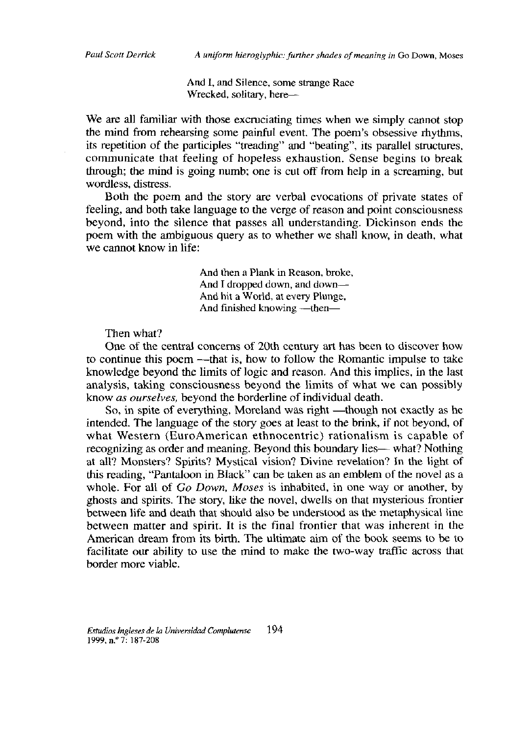And I. and Silence, some strange Race Wrecked, solitary, here-

We are all familiar with those excruciating times when we simply cannot stop the mind from rehearsing some painful event. The poem's obsessive rhythms, its repetition of the participles "treading" and "beating", its parallel structures, communicate that feeling of hopeless exhaustion. Sense begins to break through; the mind is going numb; one is cut off from help in a screaming, but wordless, distress.

Both the poem and the story are verbal evocations of private states of feeling, and both take language to the verge of reason and point consciousness bevond, into the silence that passes all understanding. Dickinson ends the poem with the ambiguous query as to whether we shall know, in death, what we cannot know in life:

> And then a Plank in Reason, broke, And I dropped down, and down— And hit a World, at every Plunge, And finished knowing -- then-

Then what?

One of the central concerns of 20th century art has been to discover how to continue this poem -----that is, how to follow the Romantic impulse to take knowledge beyond the limits of logic and reason. And this implies, in the last analysis, taking consciousness beyond the limits of what we can possibly know as ourselves, beyond the borderline of individual death.

So, in spite of everything, Moreland was right —though not exactly as he intended. The language of the story goes at least to the brink, if not beyond, of what Western (EuroAmerican ethnocentric) rationalism is capable of recognizing as order and meaning. Beyond this boundary lies— what? Nothing at all? Monsters? Spirits? Mystical vision? Divine revelation? In the light of this reading, "Pantaloon in Black" can be taken as an emblem of the novel as a whole. For all of Go Down, Moses is inhabited, in one way or another, by ghosts and spirits. The story, like the novel, dwells on that mysterious frontier between life and death that should also be understood as the metaphysical line between matter and spirit. It is the final frontier that was inherent in the American dream from its birth. The ultimate aim of the book seems to be to facilitate our ability to use the mind to make the two-way traffic across that border more viable.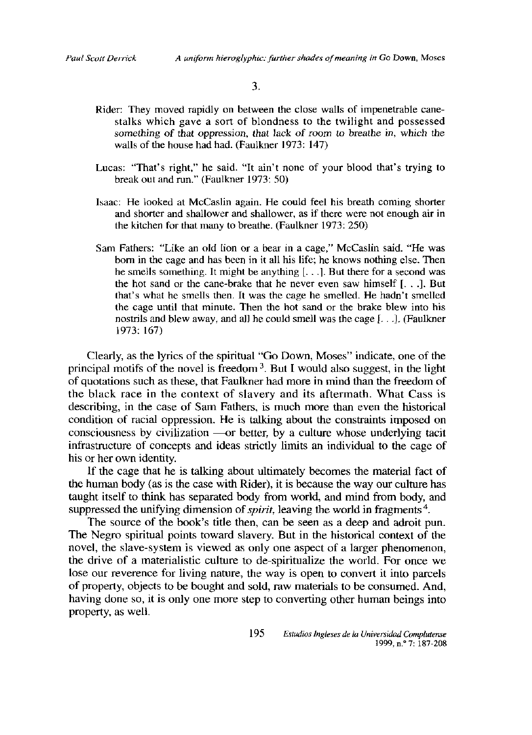3.

- Rider: They moved rapidly on between the close walls of impenetrable cane-<br>stalks which gave a sort of blondness to the twilight and possessed something of that oppression, that lack of room to breathe in, which the walls of the house had had. (Faulkner 1973: 147)
- Lucas: "That's right," he said. "It ain't none of your blood that's trying to break out and run." (Faulkner 1973: 50)
- Isaac: He looked at McCaslin again. He could feel his breath coming shorter and shorter and shallower and shallower, as if there were not enough air in the kitchen for that many to breathe. (Faulkner 1973:  $250$ )
- Sam Fathers: "Like an old lion or a bear in a cage," McCaslin said. "He was born in the cage and has been in it all his life; he knows nothing else. Then he smells something. It might be anything  $[...]$ . But there for a second was the hot sand or the cane-brake that he never even saw himself [. . .]. But that's what he smells then. It was the cage he smelled. He hadn't smelled the cage until that minute. Then the hot sand or the brake blew into his nostrils and blew away, and all he could smell was the cage  $\mathfrak{f}$ . **J.** (Faulkner 1973:167)

Clearly, as the lyrics of the spiritual "Go Down, Moses" indicate, one of the principal motifs of the novel is freedom  $<sup>3</sup>$ . But I would also suggest, in the light</sup> of quotations such as these, that Faulkner had more in mind than the freedom of the black race in the context of slavery and its aftermath. What Cass is describing, in the case of Sam Fathers, is much more than even the historical condition of racial oppression. He is talking about the constraints imposed on consciousness by civilization —or better, by a culture whose underlying tacit infrastructure of concepts and ideas strictly limits an individual to the cage of bis er her own identity.

If the cage that he is talking about ultimately becomes the material fact of the human body (as is the case with Rider), it is because the way our culture has taught itself to think has separated body from world, and mind from body, and suppressed the unifying dimension of *spirit*, leaving the world in fragments<sup>4</sup>.  $\sum_{i=1}^{\infty}$  and  $\sum_{i=1}^{\infty}$  and  $\sum_{i=1}^{\infty}$  and  $\sum_{i=1}^{\infty}$  and  $\sum_{i=1}^{\infty}$  and  $\sum_{i=1}^{\infty}$  and  $\sum_{i=1}^{\infty}$  and  $\sum_{i=1}^{\infty}$  and  $\sum_{i=1}^{\infty}$  and  $\sum_{i=1}^{\infty}$  and  $\sum_{i=1}^{\infty}$  and  $\sum_{i=1}^{\infty$ 

The source of the book's title then, can be seen as a deep and adroit pun<br>The Negro spiritual points toward slavery. But in the bistorical centext of the no vegio spiritual politis toward stavery. But in the historical context of the<br>novel, the clave-system is viewed as only one aspect of a larger phenomenon, hovel, the slave-system is viewed as only one aspect of a larger phenomenon,<br>the drive of a materialistic culture to de-enjuitualize the world. For once we the drive of a materialistic culture to de-spiritualize the world. For once we lose our reverence for living nature, the way is open to convert it into parcels ose our reverence for fiving nature, the way is open to convert it find parcels<br>of property, objects to be bought and sold, raw materials to be consumed. And, having done so, it is only ene more step te cenverting otber buman beings into having done so, it is only one more step to converting other human beings into property, as well.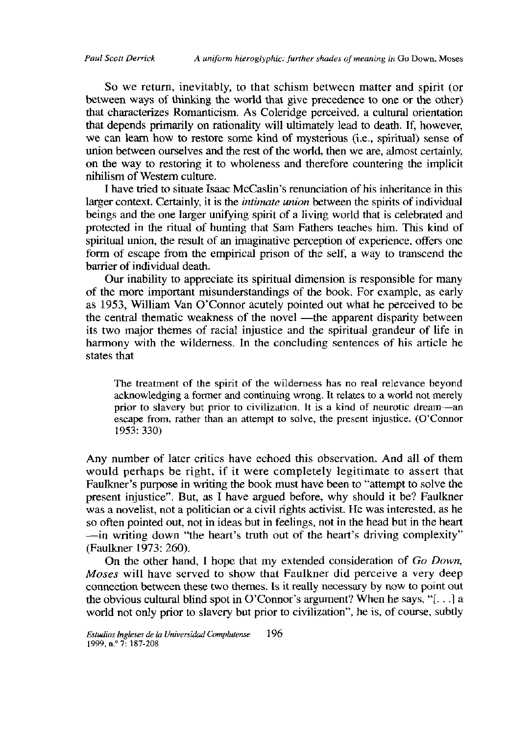So we return, inevitably, to that schism between matter and spirit (or between ways of thinking the world that give precedence to one or the other) that characterizes Romanticism. As Coleridge perceived, a cultural orientation that depends primarily on rationality will ultimately lead to death. If, however, we can learn how to restore some kind of mysterious (i.e., spiritual) sense of union between ourselves and the rest of the world, then we are, almost certainly, on the way to restoring it to wholeness and therefore countering the implicit nihilismof Westem culture.

I have tried to situate Isaac McCaslin's renunciation of his inheritance in this larger context. Certainly, it is the *intimate union* between the spirits of individual beings and the one larger unifying spirit of a living world that is celebrated and protected in the ritual of hunting that Sam Fathers teaches him. This kind of spiritual union, the result of an imaginative perception of experience, offers one form of escape from the empirical prison of the self, a way to transcend the barrier of individual death.

Our inability to appreciate its spiritual dimension is responsible for many of the more important misunderstandings of the book. For example, as early as 1953, William Van O'Connor acutely pointed out what he perceived to be the central thematic weakness of the novel —the apparent disparity between its two major themes of racial injustice and the spiritual grandeur of life in harmony with the wilderness. In the concluding sentences of his article he states that

The treatment of the spirit of the wilderness has no real relevance beyond acknowledging a former and continuing wrong. It relates to a world not merely prior to slavery but prior to civilization. It is a kind of neurotic dream—an escape from, rather than an attempt to solve, the present injustice. (O'Connor 1953: 330)

Any number of later critics have echoed this observation. And all of them would perhaps be right, if it were completely legitimate to assert that Faulkner's purpose in writing the book must have been to "attempt to solve the present injustice". But, as <sup>1</sup> bave argued before, why sbould it be? Faulkner was a novelist, not a politician or a civil rights activist. He was interested, as he so often pointed out, not in ideas but in feelings, not in the head but in the heart -in writing down "the heart's truth out of the heart's driving complexity" (Faulkner 1973: 260).

On the other hand, I hope that my extended consideration of *Go Down*, *Moses* will have served to show that Faulkner did perceive a very deep connection between these two themes. Is it really necessary by now to point out [be ebvious cultural blind spet in O'Cenner's argument? Wben be says, "[. . *.]* a world not only prior to slavery but prior to civilization", he is, of course, subtly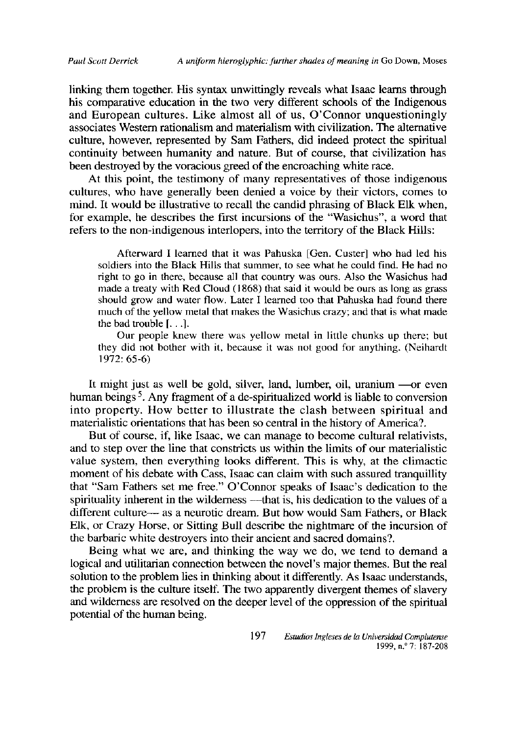linking them together. His syntax unwittingly reveals what Isaac learns through his comparative education in the two very different schools of the Indigenous and European cultures. Like almost all of us, O'Connor unquestioningly associates Western rationalism and materialism with civilization. The alternative culture, however, represented by Sam Fathers, did indeed protect the spiritual continuity between humanity and nature. But of course, that civilization has been destroyed by the voracious greed of the encroaching white race.

At this point, the testimony of many representatives of those indigenous cultures, who have generally been denied a voice by their victors, comes to mind. It would be illustrative to recall the candid phrasing of Black Elk when, for example, he describes the first incursions of the "Wasichus", a word that refers to the non-indigenous interlopers, into the territory of the Black Hills:

Afterward I learned that it was Pahuska [Gen. Custer] who had led his soldiers into the Black Hills that summer, to see what he could find. He had no right to go in there, because all that country was ours. Also the Wasichus had made a treaty with Red Cloud (1868) that said it would be ours as long as grass should grow and water flow. Later I learned too that Pahuska had found there much of the yellow metal that makes the Wasichus crazy; and that is what made the bad trouble  $[$ .  $]$ .

Our people knew there was yellow metal in little chunks up there; but they did not bother with it, because it was not good for anything. (Neihardt 1972: 65-6)

It might just as well be goid, silver, land, lumber, oil, uranium —or even human beings<sup>5</sup>. Any fragment of a de-spiritualized world is liable to conversion into property. How better to illustrate the clash between spiritual and materialistic orientations that has been so central in the history of America?.

But of course, if, like Isaac, we can manage to become cultural relativists, and to step over the line that constricts us within the limits of our materialistic value system, then everything looks different. This is why, at the climactic moment of his debate with Cass, Isaac can claim with such assured tranquillity that "Sam Fathers set me free." O'Connor speaks of Isaac's dedication to the spirituality inherent in the wildemess —that is, his dedication to the values of a different culture— as a neurotic dream. But how would Sam Fathers, or Black Elk, or Crazy Horse, or Sitting Bull describe the nightmare of the incursion of the barbaric white destroyers into their ancient and sacred domains?.

Being what we are, and thinking the way we do, we tend to demand a logical and utilitarian connection between the novel's major themes. But the real solution to the problem lies in thinking about it differently. As Isaac understands, the problem is the culture itself. The two apparently divergent themes of slavery and wilderness are resolved on the deeper level of the oppression of the spiritual potential of the human being.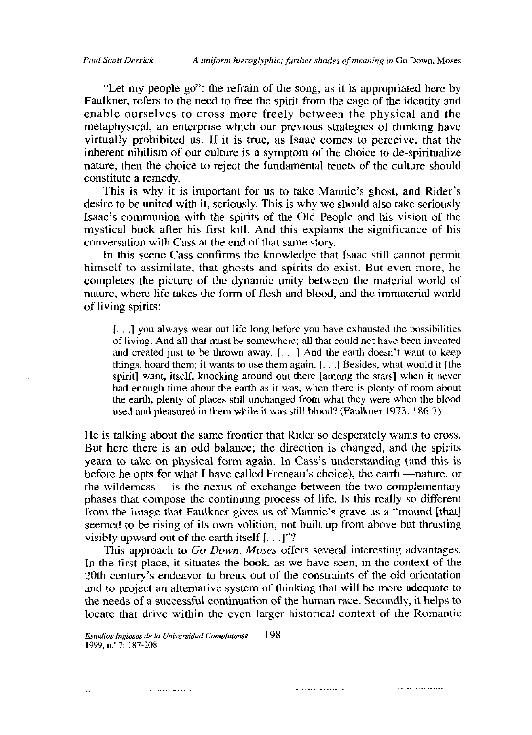"Let my people go": the refrain of the song, as it is appropriated here by Faulkner, refers to the need to free the spirit from the cage of the identity and enable ourselves to cross more freely between the physical and the metaphysical, an enterprise which our previous strategies of thinking have virtually prohibited us. If it is true, as Isaac comes to perceive, that the inherent nihilism of our culture is a symptom of the choice to de-spiritualize nature, then the choice to reject the fundamental tenets of the culture should constitute a remedy.

This is why it is important for us to take Mannie's ghost, and Rider's desire to be united with it, seriously. This is why we should also take seriously Isaac's communion with the spirits of the Old People and his vision of the mystical buck after his first kill. And this explains the significance of his conversation with Cass at the end of that same story.

In this scene Cass confirms the knowledge that Isaac still cannot permit himself to assimilate, that ghosts and spirits do exist. But even more, he completes the picture of the dynamic unity between the material world of nature, where life takes the form of flesh and blood, and the immaterial world of living spirits:

[...] you always wear out life long before you have exhausted the possibilities of living. And all that must be somewhere; all that could not have been invented and created just to be thrown away. [...] And the earth doesn't want to keep things, hoard them; it wants to use them again.  $[...]$  Besides, what would it [the spirit] want, itself, knocking around out there [among the stars] when it never had enough time about the earth as it was, when there is plenty of room about the earth, plenty of places still unchanged from what they were when the blood used and pleasured in them while it was still blood? (Faulkner 1973: 186-7)

He is talking about the same frontier that Rider so desperately wants to cross. But here there is an odd balance; the direction is changed, and the spirits yearn to take on physical form again. In Cass's understanding (and this is before he opts for what I have called Freneau's choice), the earth —nature, or the wilderness— is the nexus of exchange between the two complementary phases that compose the continuing process of life. Is this really so different from the image that Faulkner gives us of Mannie's grave as a "mound [that] seemed to be rising of its own volition, not built up from above but thrusting visibly upward out of the earth itself  $[...]$ "?

This approach to Go Down, Moses offers several interesting advantages. In the first place, it situates the book, as we have seen, in the context of the 20th century's endeavor to break out of the constraints of the old orientation and to project an alternative system of thinking that will be more adequate to the needs of a successful continuation of the human race. Secondly, it helps to locate that drive within the even larger historical context of the Romantic

198 Estudios Ingleses de la Universidad Complutense 1999, п. °7: 187-208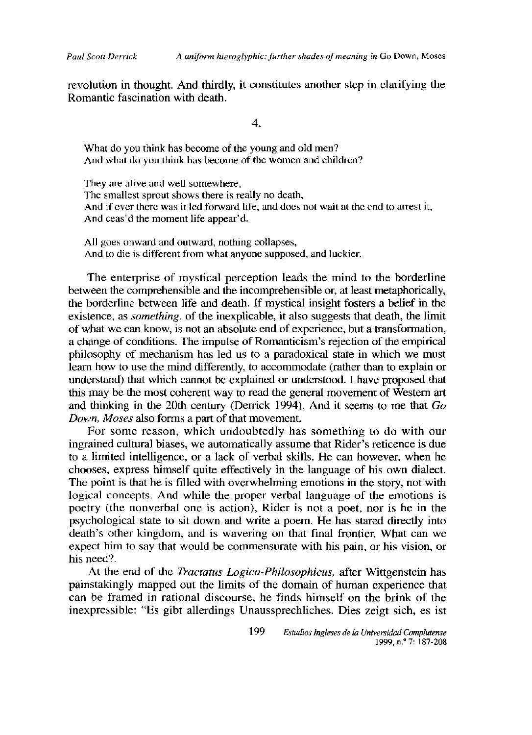revolution in thought. And thirdly, it constitutes another step in clarifying the Romantic fascination with death.

 $\overline{4}$ .

What do you think has become of the young and old men? And what do you think has become of the women and children?

They are alive and well somewhere, The smallest sprout shows there is really no death, And if ever there was it led forward life, and does not wait at the end to arrest it, And ceas'd the moment life appear'd.

All goes onward and outward, nothing collapses, And to die is different from what anyone supposed, and luckier.

The enterprise of mystical perception leads the mind to the borderline between the comprehensible and the incomprehensible or, at least metaphorically. the borderline between life and death. If mystical insight fosters a belief in the existence, as *something*, of the inexplicable, it also suggests that death, the limit of what we can know, is not an absolute end of experience, but a transformation, a change of conditions. The impulse of Romanticism's rejection of the empirical philosophy of mechanism has led us to a paradoxical state in which we must learn how to use the mind differently, to accommodate (rather than to explain or understand) that which cannot be explained or understood. I have proposed that this may be the most coherent way to read the general movement of Western art and thinking in the 20th century (Derrick 1994). And it seems to me that Go Down, Moses also forms a part of that movement.

For some reason, which undoubtedly has something to do with our ingrained cultural biases, we automatically assume that Rider's reticence is due to a limited intelligence, or a lack of verbal skills. He can however, when he chooses, express himself quite effectively in the language of his own dialect. The point is that he is filled with overwhelming emotions in the story, not with logical concepts. And while the proper verbal language of the emotions is poetry (the nonverbal one is action), Rider is not a poet, nor is he in the psychological state to sit down and write a poem. He has stared directly into death's other kingdom, and is wavering on that final frontier. What can we expect him to say that would be commensurate with his pain, or his vision, or his need?.

At the end of the *Tractatus Logico-Philosophicus*, after Wittgenstein has painstakingly mapped out the limits of the domain of human experience that can be framed in rational discourse, he finds himself on the brink of the inexpressible: "Es gibt allerdings Unaussprechliches. Dies zeigt sich, es ist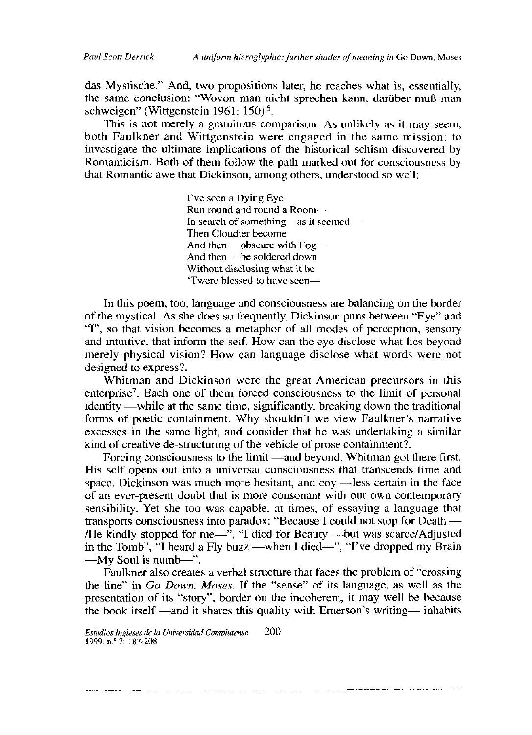das Mystische." And, two propositions later, he reaches what is, essentially, the same conclusion: "Wovon man nicht sprechen kann, darüber muß man schweigen" (Wittgenstein 1961: 150)<sup>6</sup>.

This is not merely a gratuitous comparison. As unlikely as it may seem, both Faulkner and Wittgenstein were engaged in the same mission; to investigate the ultimate implications of the historical schism discovered by Romanticism. Both of them follow the path marked out for consciousness by that Romantic awe that Dickinson, among others, understood so well:

> I've seen a Dying Eye Run round and round a Room-In search of something—as it seemed— Then Cloudier become And then - obscure with Fog-And then - be soldered down Without disclosing what it be 'Twere blessed to have seen-

In this poem, too, language and consciousness are balancing on the border of the mystical. As she does so frequently, Dickinson puns between "Eye" and "I", so that vision becomes a metaphor of all modes of perception, sensory and intuitive, that inform the self. How can the eye disclose what lies beyond merely physical vision? How can language disclose what words were not designed to express?.

Whitman and Dickinson were the great American precursors in this enterprise<sup>7</sup>. Each one of them forced consciousness to the limit of personal identity —while at the same time, significantly, breaking down the traditional forms of poetic containment. Why shouldn't we view Faulkner's narrative excesses in the same light, and consider that he was undertaking a similar kind of creative de-structuring of the vehicle of prose containment?.

Forcing consciousness to the limit —and beyond. Whitman got there first. His self opens out into a universal consciousness that transcends time and space. Dickinson was much more hesitant, and coy —less certain in the face of an ever-present doubt that is more consonant with our own contemporary sensibility. Yet she too was capable, at times, of essaying a language that transports consciousness into paradox: "Because I could not stop for Death — /He kindly stopped for me—", "I died for Beauty —but was scarce/Adjusted<br>in the Tomb", "I heard a Fly buzz —when I died—", "I've dropped my Brain -My Soul is numb-".

Faulkner also creates a verbal structure that faces the problem of "crossing the line" in Go Down, Moses. If the "sense" of its language, as well as the presentation of its "story", border on the incoherent, it may well be because the book itself —and it shares this quality with Emerson's writing— inhabits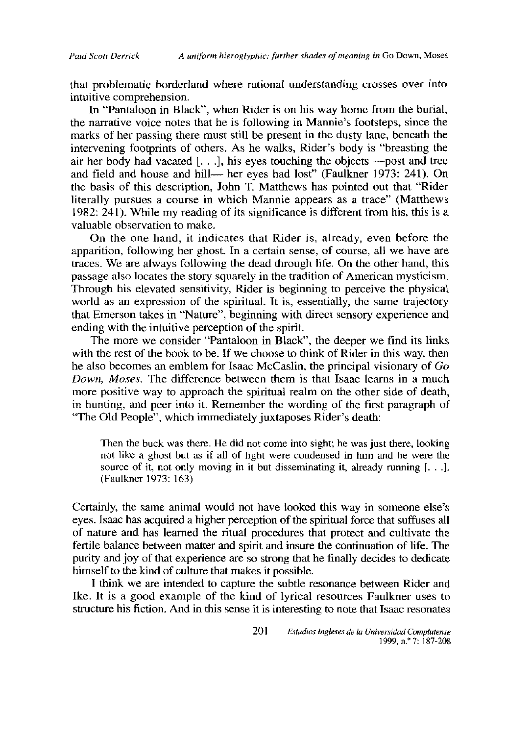that problematic borderland where rational understanding crosses over into intuitive comprehension.

In "Pantaloon in Black", when Rider is on his way home from the burial, the narrative voice notes that he is following in Mannie's footsteps, since the marks of her passing there must still be present in the dusty lane, beneath the intervening footprints of others. As he walks, Rider's body is "breasting the air her body had vacated [...], his eves touching the objects —post and tree and field and house and hill— her eyes had lost" (Faulkner 1973: 241). On the basis of this description, John T. Matthews has pointed out that "Rider literally pursues a course in which Mannie appears as a trace" (Matthews 1982: 241). While my reading of its significance is different from his, this is a valuable observation to make.

On the one hand, it indicates that Rider is, already, even before the apparition, following her ghost. In a certain sense, of course, all we have are traces. We are always following the dead through life. On the other hand, this passage also locates the story squarely in the tradition of American mysticism. Through his elevated sensitivity, Rider is beginning to perceive the physical world as an expression of the spiritual. It is, essentially, the same trajectory that Emerson takes in "Nature", beginning with direct sensory experience and ending with the intuitive perception of the spirit.

The more we consider "Pantaloon in Black", the deeper we find its links with the rest of the book to be. If we choose to think of Rider in this way, then he also becomes an emblem for Isaac McCaslin, the principal visionary of Go Down, Moses. The difference between them is that Isaac learns in a much more positive way to approach the spiritual realm on the other side of death, in hunting, and peer into it. Remember the wording of the first paragraph of "The Old People", which immediately juxtaposes Rider's death:

Then the buck was there. He did not come into sight; he was just there, looking not like a ghost but as if all of light were condensed in him and he were the source of it, not only moving in it but disseminating it, already running  $[\dots]$ . (Faulkner 1973: 163)

Certainly, the same animal would not have looked this way in someone else's eyes. Isaac has acquired a higher perception of the spiritual force that suffuses all of nature and has learned the ritual procedures that protect and cultivate the fertile balance between matter and spirit and insure the continuation of life. The purity and joy of that experience are so strong that he finally decides to dedicate himself to the kind of culture that makes it possible.

I think we are intended to capture the subtle resonance between Rider and Ike. It is a good example of the kind of lyrical resources Faulkner uses to structure his fiction. And in this sense it is interesting to note that Isaac resonates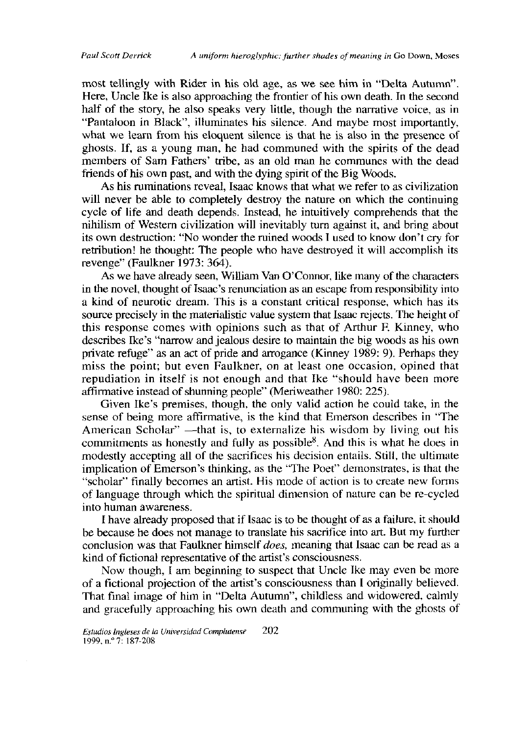most tellingly with Rider in his old age, as we see him in "Delta Autumn". Here, Uncle Ike is also approaching the frontier of his own death. In the second half of the story, he also speaks very little, though the narrative voice, as in "Pantaloon in Black", illuminates his silence. And maybe most importantly, what we learn from his eloquent silence is that he is also in the presence of ghosts. If, as a young man, he had communed with the spirits of the dead members of Sam Fathers' tribe, as an old man he communes with the dead friends of his own past, and with the dying spirit of the Big Woods.

As his ruminations reveal, Isaac knows that what we refer to as civilization will never be able to completely destroy the nature on which the continuing cycle of life and death depends. Instead, he intuitively comprehends that the nihilism of Western civilization will inevitably turn against it, and bring about its own destruction: "No wonder the ruined woods I used to know don't cry for retribution! he thought: The people who have destroved it will accomplish its revenge" (Faulkner 1973: 364).

As we have already seen, William Van O'Connor, like many of the characters in the novel, thought of Isaac's renunciation as an escape from responsibility into a kind of neurotic dream. This is a constant critical response, which has its source precisely in the materialistic value system that Isaac rejects. The height of this response comes with opinions such as that of Arthur F. Kinney, who describes Ike's "narrow and jealous desire to maintain the big woods as his own private refuge" as an act of pride and arrogance (Kinney 1989: 9). Perhaps they miss the point; but even Faulkner, on at least one occasion, opined that repudiation in itself is not enough and that Ike "should have been more affirmative instead of shunning people" (Meriweather 1980: 225).

Given Ike's premises, though, the only valid action he could take, in the sense of being more affirmative, is the kind that Emerson describes in "The American Scholar" - that is, to externalize his wisdom by living out his commitments as honestly and fully as possible<sup>8</sup>. And this is what he does in modestly accepting all of the sacrifices his decision entails. Still, the ultimate implication of Emerson's thinking, as the "The Poet" demonstrates, is that the "scholar" finally becomes an artist. His mode of action is to create new forms of language through which the spiritual dimension of nature can be re-cycled into human awareness.

I have already proposed that if Isaac is to be thought of as a failure, it should be because he does not manage to translate his sacrifice into art. But my further conclusion was that Faulkner himself *does*, meaning that Isaac can be read as a kind of fictional representative of the artist's consciousness.

Now though, I am beginning to suspect that Uncle Ike may even be more of a fictional projection of the artist's consciousness than I originally believed. That final image of him in "Delta Autumn", childless and widowered, calmly and gracefully approaching his own death and communing with the ghosts of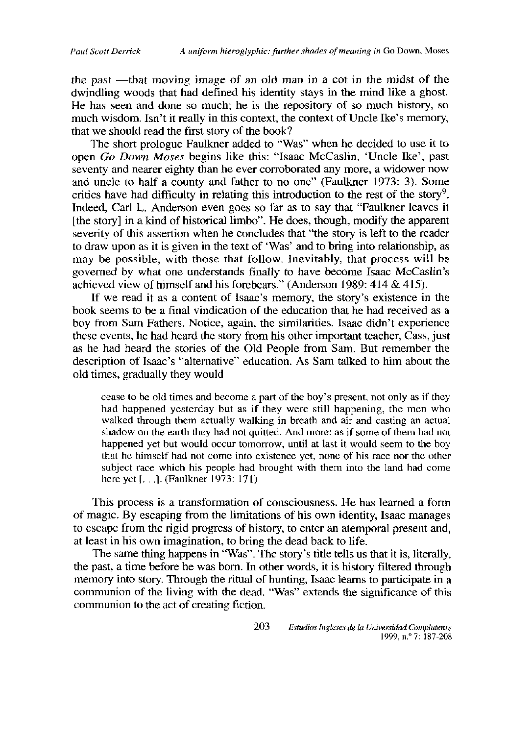the past —that moving image of an old man in a cot in the midst of the dwindling woods that had defined his identity stays in the mind like a ghost. He has seen and done so much; he is the repository of so much history, so much wisdom. Isn't it really in this context, the context of Uncle Ike's memory, that we should read the first story of the book?

The short prologue Faulkner added to "Was" when he decided to use it to open *Go Down Moses* begins like this: "Isaac McCaslin, 'Uncle Ike', past seventy and nearer eighty than he ever corroborated any more, a widower now and uncle to half a county and father to no one" (Faulkner 1973: 3). Some critics have had difficulty in relating this introduction to the rest of the story<sup>9</sup>. Indeed, Carl L. Anderson even goes so far as to say that "Faulkner leaves it  $[the story]$  in a kind of historical limbo". He does, though, modify the apparent severity of this assertion when he concludes that "the story is left to the reader to draw upon as it is given in the text of 'Was' and to bring into relationship, as may be possible, with those that follow. Inevitably, that process will be governed by what one understands finally to have become Isaac *McCaslin's* acbieved view of bimself and bis forebears." (Andersen 1989: 414 & *415).*

If we read it as a content of Isaac's memory, the story's existence in the book seems to be a final vindication of the education that he had received as a boy from Sam Fathers. Notice, again, the similarities. Isaac didn't experience these events, he had heard the story from his other important teacher, Cass, just as he had heard the stories of the Old People from Sam. But remember the description of Isaac's "alternative" education. As Sam talked to him about the old times, gradually they would

cease to be old times and become a part of the boy's present, net only as if they cease to be old three and become a part of the boy's present, not only as it they had happened yesterday but as if they were atill bappening, the men who had happened yesterday but as if they were still happening, the men who walked through them actually walking in breath and air and casting an actual shadow on the earth they had not quitted. And more: as if some of them had not happened yet but would occur tomorrow, until at last it would seem to the boy<br>happened yet but would occur tomorrow, until at last it would seem to the boy that he himself had not come into existence yet, none of his race nor the other subject race which his people had brought with them into the land had come here yet [...]. (Faulkner 1973: 171)

This process is a transformation of consciousness. He has learned a form of magic. By escaping from the limitations of his own identity, Isaac manages to escape from the rigid progress of history, to enter an atemporal present and, at least in his own imagination, to bring the dead back to life.

The same thing happens in "Was". The story's title tells us that it is, literally, the past, a time before he was born. In other words, it is history filtered through me past, a mult before he was born. In outer words, it is mstory macred unbugn<br>memory into story. Through the ritual of bunting. Isaac learns to participate in a memory into story. Through the ritual of hunting, Isaac learns to participate in a<br>communion of the living with the dead. "Was" extends the significance of this communion of the living with the dead. "Was" extends the significance of this communion to the act of creating fiction.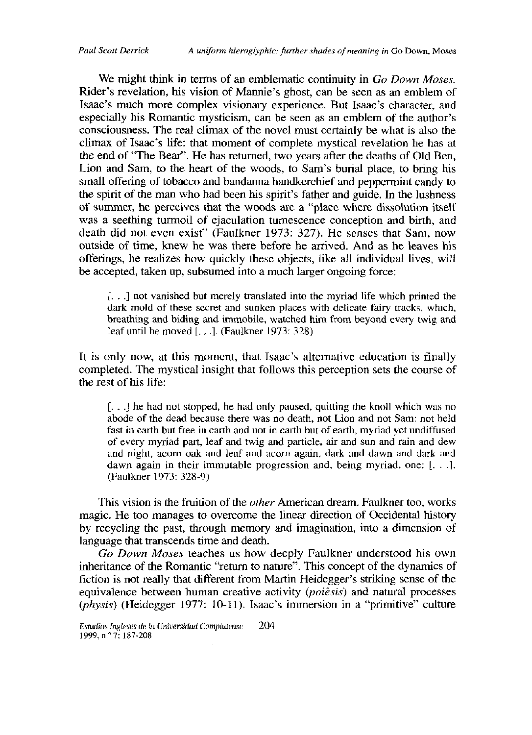We might think in terms of an emblematic continuity in *Go Down Moses*. Rider's revelation, his vision of Mannie's ghost, can be seen as an emblem of Isaac's much more complex visionary experience. But Isaac's character, and especially his Romantic mysticism, can be seen as an emblem of the author's consciousness. The real climax of the novel must certainly be what is also the climax of Isaac's life: that moment of complete mystical revelation he has at the end of "The Bear". He has returned, two years after the deaths of Old Ben, Lion and Sam, to the heart of the woods, to Sam's burial place, to bring his small offering of tobacco and bandanna handkerchief and peppermint candy to the spirit of the man who had been his spirit's father and guide. In the lushness of summer, he perceives that the woods are a "place where dissolution itself was a seething turmoil of ejaculation tumescence conception and birth, and death did not even exist" (Faulkner 1973: 327). He senses that Sam, now outside of time, knew he was there before he arrived. And as he leaves his offerings, he realizes how quickly these objects, like all individual lives, will be accepted, taken up, subsumed into a much larger ongoing force:

[...] not vanished but merely translated into the myriad life which printed the dark mold of these secret and sunken places with delicate fairy tracks, which, breathing and biding and immobile, watched him from beyond every twig and leafuntil he moved *[.* . *.].* (Faulkner 1973: 328)

It is only now, at this moment, that Isaac's alternative education is finally completed. The mystical insight that follows this perception sets the course of the rest of his life:

[. . .] he had not stopped, he had only paused, quitting the knoll which was no abode of the dead because there was no death, not Lion and not Sam: not held fast in earth but free in earth and not in earth but of earth, myriad yet undiffused of every myriad part, leaf and twig and particle, air and sun and rain and dew and night, acorn oak and leaf and acorn again, dark and dawn and dark and dawn again in their immutable progression and, being myriad, one: *[...]*. (Faulkner 1973: 328-9)

This vision is the fruition of the *other* American dream. Faulkner too, works magic. He too manages to overcome the linear direction of Occidental history by recycling the past, through memory and imagination, into a dimension of language that transcends time and death.

Go Down Moses teaches us how deeply Faulkner understood his own inheritance of the Romantic "return to nature". This concept of the dynamics of fiction is not really that different from Martin Heidegger's striking sense of the equivalence between human creative activity *(poiêsis)* and natural processes  $(\bar{p}h\gamma sis)$  (Heidegger 1977: 10-11). Isaac's immersion in a "primitive" culture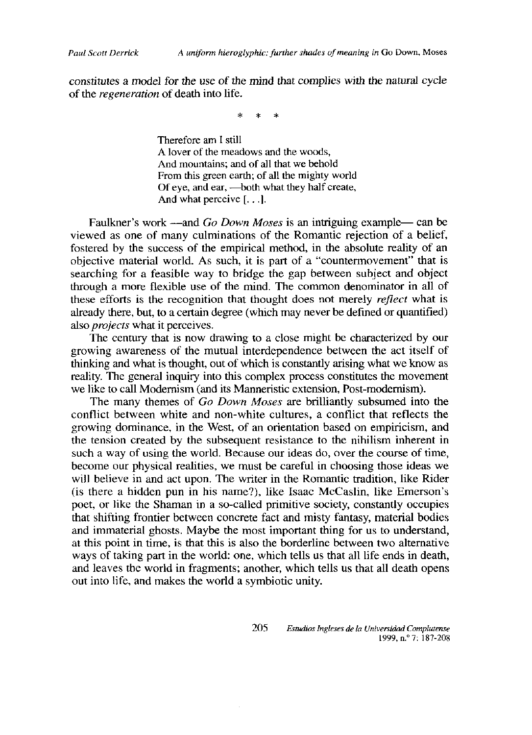constitutes a model for the use of the mind that complies with the natural cycle of the *regeneration* of death into life.

Therefore am I still A lover of the meadows and the woods, And mountains; and of all that we behold From this green earth; of all the mighty world Of eye, and ear, - both what they half create, And what perceive  $[\ldots]$ .

Faulkner's work —and Go Down Moses is an intriguing example— can be viewed as one of many culminations of the Romantic rejection of a belief, fostered by the success of the empirical method, in the absolute reality of an objective material world. As such, it is part of a "countermovement" that is searching for a feasible way to bridge the gap between subject and object through a more flexible use of the mind. The common denominator in all of these efforts is the recognition that thought does not merely reflect what is already there, but, to a certain degree (which may never be defined or quantified) also *projects* what it perceives.

The century that is now drawing to a close might be characterized by our growing awareness of the mutual interdependence between the act itself of thinking and what is thought, out of which is constantly arising what we know as reality. The general inquiry into this complex process constitutes the movement we like to call Modernism (and its Manneristic extension, Post-modernism).

The many themes of Go Down Moses are brilliantly subsumed into the conflict between white and non-white cultures, a conflict that reflects the growing dominance, in the West, of an orientation based on empiricism, and the tension created by the subsequent resistance to the nihilism inherent in such a way of using the world. Because our ideas do, over the course of time, become our physical realities, we must be careful in choosing those ideas we will believe in and act upon. The writer in the Romantic tradition, like Rider (is there a hidden pun in his name?), like Isaac McCaslin, like Emerson's poet, or like the Shaman in a so-called primitive society, constantly occupies that shifting frontier between concrete fact and misty fantasy, material bodies and immaterial ghosts. Maybe the most important thing for us to understand, at this point in time, is that this is also the borderline between two alternative ways of taking part in the world: one, which tells us that all life ends in death, and leaves the world in fragments; another, which tells us that all death opens out into life, and makes the world a symbiotic unity.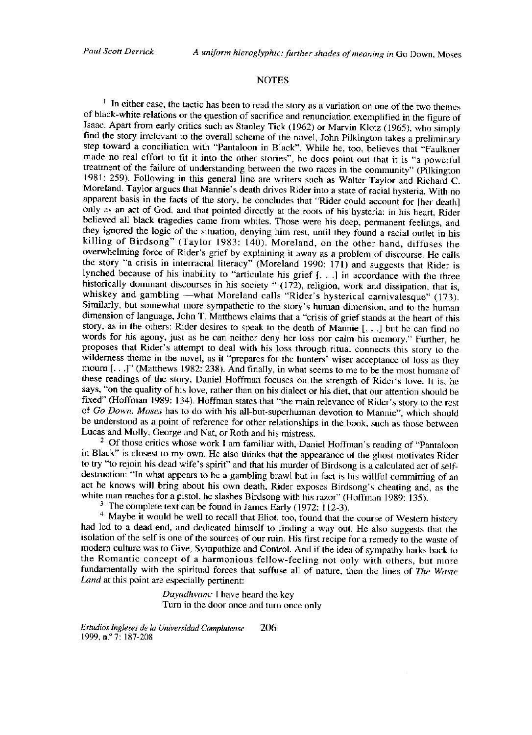## **NOTES**

<sup>1</sup> In either case, the tactic has been to read the story as a variation on one of the two themes of black-white relations or the question of sacrifice and renunciation exemplified in the figure of Isaac. Apart from early critics such as Stanley Tick (1962) or Marvin Klotz (1965), who simply find the story irrelevant to the overall scheme of the novel, John Pilkington takes a preliminary step toward a conciliation with "Pantaloon in Black". While he, too, believes that "Faulkner made no real effort to fit it into the other stories", he does point out that it is "a powerful treatment of the failure of understanding between the two races in the community" (Pilkington 1981: 259). Following in this general line are writers such as Walter Taylor and Richard C. Moreland. Taylor argues that Mannie's death drives Rider into a state of racial hysteria. With no apparent basis in the facts of the story, he concludes that "Rider could account for [her death] only as an act of God, and that pointed directly at the roots of his hysteria: in his heart, Rider believed all black tragedies came from whites. Those were his deep, permanent feelings, and they ignored the logic of the situation, denying him rest, until they found a racial outlet in his killing of Birdsong" (Taylor 1983: 140). Moreland, on the other hand, diffuses the overwhelming force of Rider's grief by explaining it away as a problem of discourse. He calls the story "a crisis in interracial literacy" (Moreland 1990: 171) and suggests that Rider is lynched because of his inability to "articulate his grief [...] in accordance with the three historically dominant discourses in his society " (172), religion, work and dissipation, that is, whiskey and gambling -what Moreland calls "Rider's hysterical carnivalesque" (173). Similarly, but somewhat more sympathetic to the story's human dimension, and to the human dimension of language, John T. Matthews claims that a "crisis of grief stands at the heart of this story, as in the others: Rider desires to speak to the death of Mannie [...] but he can find no words for his agony, just as he can neither deny her loss nor calm his memory." Further, he proposes that Rider's attempt to deal with his loss through ritual connects this story to the wilderness theme in the novel, as it "prepares for the hunters' wiser acceptance of loss as they mourn [...]" (Matthews 1982: 238). And finally, in what seems to me to be the most humane of these readings of the story, Daniel Hoffman focuses on the strength of Rider's love. It is, he says, "on the quality of his love, rather than on his dialect or his diet, that our attention should be fixed" (Hoffman 1989: 134). Hoffman states that "the main relevance of Rider's story to the rest of Go Down, Moses has to do with his all-but-superhuman devotion to Mannie", which should be understood as a point of reference for other relationships in the book, such as those between Lucas and Molly, George and Nat, or Roth and his mistress.

<sup>2</sup> Of those critics whose work I am familiar with, Daniel Hoffman's reading of "Pantaloon in Black" is closest to my own. He also thinks that the appearance of the ghost motivates Rider to try "to rejoin his dead wife's spirit" and that his murder of Birdsong is a calculated act of selfdestruction: "In what appears to be a gambling brawl but in fact is his willful committing of an act he knows will bring about his own death, Rider exposes Birdsong's cheating and, as the white man reaches for a pistol, he slashes Birdsong with his razor" (Hoffman 1989: 135).

 $3$  The complete text can be found in James Early (1972: 112-3).

<sup>4</sup> Maybe it would be well to recall that Eliot, too, found that the course of Western history had led to a dead-end, and dedicated himself to finding a way out. He also suggests that the isolation of the self is one of the sources of our ruin. His first recipe for a remedy to the waste of modern culture was to Give, Sympathize and Control. And if the idea of sympathy harks back to the Romantic concept of a harmonious fellow-feeling not only with others, but more fundamentally with the spiritual forces that suffuse all of nature, then the lines of The Waste Land at this point are especially pertinent:

> Dayadhvam: I have heard the key Turn in the door once and turn once only

Estudios Ingleses de la Universidad Complutense -206 1999, n.º 7: 187-208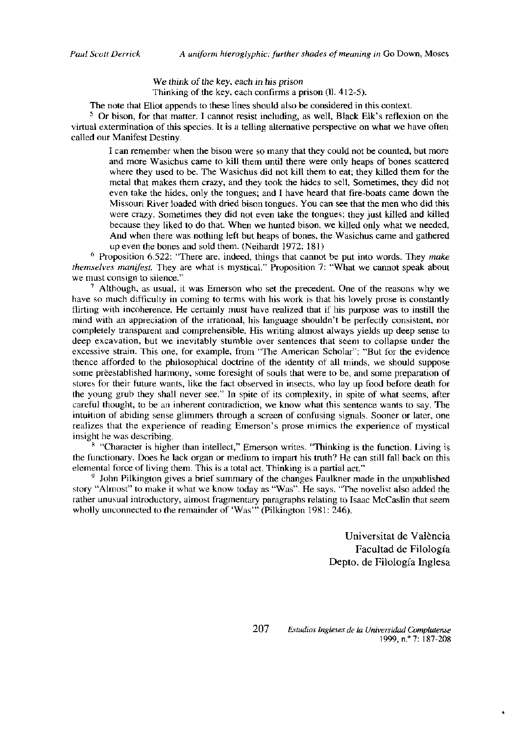We think of the key, each in his prison Thinking of the key, each confirms a prison (ll. 412-5).

The note that Eliot appends to these lines should also be considered in this context.

<sup>5</sup> Or bison, for that matter. I cannot resist including, as well, Black Elk's reflexion on the virtual extermination of this species. It is a telling alternative perspective on what we have often called our Manifest Destiny.

I can remember when the bison were so many that they could not be counted, but more and more Wasichus came to kill them until there were only heaps of bones scattered where they used to be. The Wasichus did not kill them to eat; they killed them for the metal that makes them crazy, and they took the hides to sell. Sometimes, they did not even take the hides, only the tongues; and I have heard that fire-boats came down the Missouri River loaded with dried bison tongues. You can see that the men who did this were crazy. Sometimes they did not even take the tongues; they just killed and killed because they liked to do that. When we hunted bison, we killed only what we needed. And when there was nothing left but heaps of bones, the Wasichus came and gathered up even the bones and sold them. (Neihardt 1972; 181)

 $6$  Proposition 6.522: "There are, indeed, things that cannot be put into words. They make *themselves manifest*. They are what is mystical." Proposition 7: "What we cannot speak about we must consign to silence."

 $7$  Although, as usual, it was Emerson who set the precedent. One of the reasons why we have so much difficulty in coming to terms with his work is that his lovely prose is constantly flirting with incoherence. He certainly must have realized that if his purpose was to instill the mind with an appreciation of the irrational, his language shouldn't be perfectly consistent, nor completely transparent and comprehensible. His writing almost always yields up deep sense to deep excavation, but we inevitably stumble over sentences that seem to collapse under the excessive strain. This one, for example, from "The American Scholar": "But for the evidence thence afforded to the philosophical doctrine of the identity of all minds, we should suppose some preestablished harmony, some foresight of souls that were to be, and some preparation of stores for their future wants, like the fact observed in insects, who lay up food before death for the young grub they shall never see." In spite of its complexity, in spite of what seems, after careful thought, to be an inherent contradiction, we know what this sentence wants to say. The intuition of abiding sense glimmers through a screen of confusing signals. Sooner or later, one realizes that the experience of reading Emerson's prose mimics the experience of mystical insight he was describing.

<sup>8</sup> "Character is higher than intellect," Emerson writes. "Thinking is the function. Living is the functionary. Does he lack organ or medium to impart his truth? He can still fall back on this elemental force of living them. This is a total act. Thinking is a partial act."

<sup>9</sup> John Pilkington gives a brief summary of the changes Faulkner made in the unpublished story "Almost" to make it what we know today as "Was". He says, "The novelist also added the rather unusual introductory, almost fragmentary paragraphs relating to Isaac McCaslin that seem wholly unconnected to the remainder of 'Was'" (Pilkington 1981: 246).

> Universitat de València Facultad de Filología Depto. de Filología Inglesa